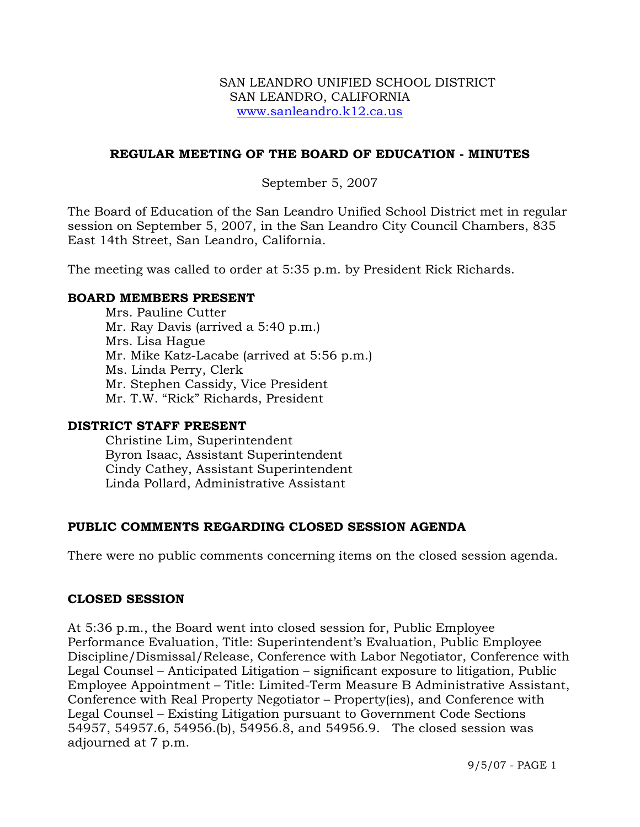## **REGULAR MEETING OF THE BOARD OF EDUCATION - MINUTES**

## September 5, 2007

The Board of Education of the San Leandro Unified School District met in regular session on September 5, 2007, in the San Leandro City Council Chambers, 835 East 14th Street, San Leandro, California.

The meeting was called to order at 5:35 p.m. by President Rick Richards.

## **BOARD MEMBERS PRESENT**

Mrs. Pauline Cutter Mr. Ray Davis (arrived a 5:40 p.m.) Mrs. Lisa Hague Mr. Mike Katz-Lacabe (arrived at 5:56 p.m.) Ms. Linda Perry, Clerk Mr. Stephen Cassidy, Vice President Mr. T.W. "Rick" Richards, President

## **DISTRICT STAFF PRESENT**

Christine Lim, Superintendent Byron Isaac, Assistant Superintendent Cindy Cathey, Assistant Superintendent Linda Pollard, Administrative Assistant

# **PUBLIC COMMENTS REGARDING CLOSED SESSION AGENDA**

There were no public comments concerning items on the closed session agenda.

## **CLOSED SESSION**

At 5:36 p.m., the Board went into closed session for, Public Employee Performance Evaluation, Title: Superintendent's Evaluation, Public Employee Discipline/Dismissal/Release, Conference with Labor Negotiator, Conference with Legal Counsel – Anticipated Litigation – significant exposure to litigation, Public Employee Appointment – Title: Limited-Term Measure B Administrative Assistant, Conference with Real Property Negotiator – Property(ies), and Conference with Legal Counsel – Existing Litigation pursuant to Government Code Sections 54957, 54957.6, 54956.(b), 54956.8, and 54956.9. The closed session was adjourned at 7 p.m.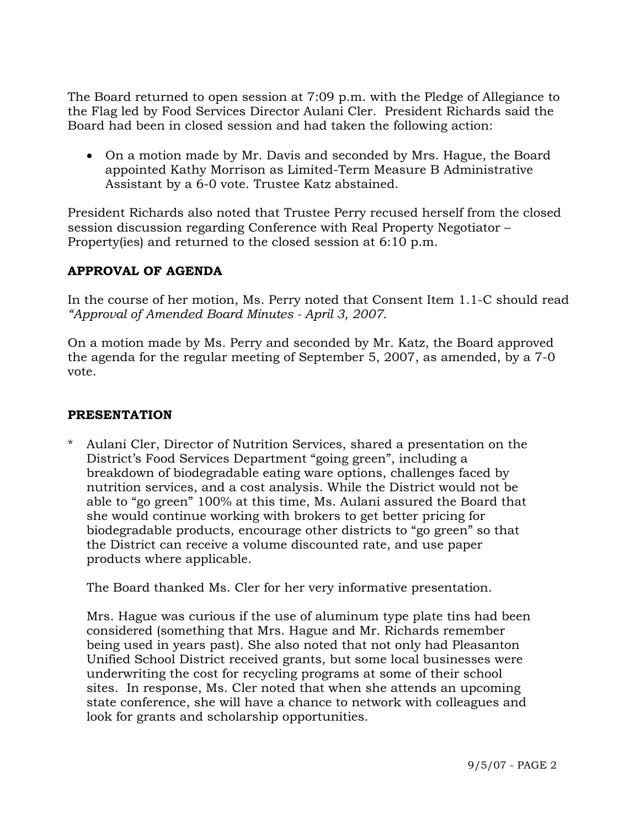The Board returned to open session at 7:09 p.m. with the Pledge of Allegiance to the Flag led by Food Services Director Aulani Cler. President Richards said the Board had been in closed session and had taken the following action:

• On a motion made by Mr. Davis and seconded by Mrs. Hague, the Board appointed Kathy Morrison as Limited-Term Measure B Administrative Assistant by a 6-0 vote. Trustee Katz abstained.

President Richards also noted that Trustee Perry recused herself from the closed session discussion regarding Conference with Real Property Negotiator – Property(ies) and returned to the closed session at 6:10 p.m.

# **APPROVAL OF AGENDA**

In the course of her motion, Ms. Perry noted that Consent Item 1.1-C should read *"Approval of Amended Board Minutes - April 3, 2007*.

On a motion made by Ms. Perry and seconded by Mr. Katz, the Board approved the agenda for the regular meeting of September 5, 2007, as amended, by a 7-0 vote.

## **PRESENTATION**

\* Aulani Cler, Director of Nutrition Services, shared a presentation on the District's Food Services Department "going green", including a breakdown of biodegradable eating ware options, challenges faced by nutrition services, and a cost analysis. While the District would not be able to "go green" 100% at this time, Ms. Aulani assured the Board that she would continue working with brokers to get better pricing for biodegradable products, encourage other districts to "go green" so that the District can receive a volume discounted rate, and use paper products where applicable.

The Board thanked Ms. Cler for her very informative presentation.

 Mrs. Hague was curious if the use of aluminum type plate tins had been considered (something that Mrs. Hague and Mr. Richards remember being used in years past). She also noted that not only had Pleasanton Unified School District received grants, but some local businesses were underwriting the cost for recycling programs at some of their school sites. In response, Ms. Cler noted that when she attends an upcoming state conference, she will have a chance to network with colleagues and look for grants and scholarship opportunities.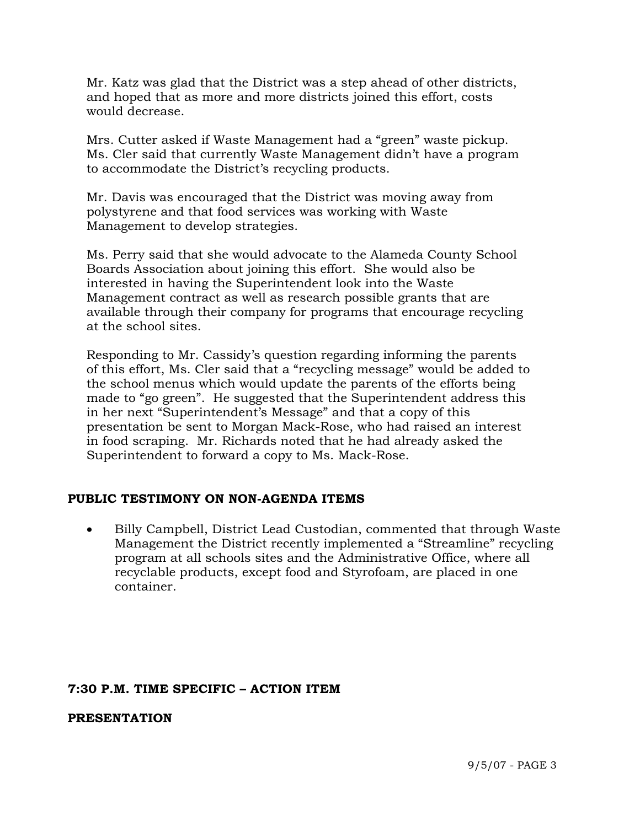Mr. Katz was glad that the District was a step ahead of other districts, and hoped that as more and more districts joined this effort, costs would decrease.

 Mrs. Cutter asked if Waste Management had a "green" waste pickup. Ms. Cler said that currently Waste Management didn't have a program to accommodate the District's recycling products.

 Mr. Davis was encouraged that the District was moving away from polystyrene and that food services was working with Waste Management to develop strategies.

 Ms. Perry said that she would advocate to the Alameda County School Boards Association about joining this effort. She would also be interested in having the Superintendent look into the Waste Management contract as well as research possible grants that are available through their company for programs that encourage recycling at the school sites.

 Responding to Mr. Cassidy's question regarding informing the parents of this effort, Ms. Cler said that a "recycling message" would be added to the school menus which would update the parents of the efforts being made to "go green". He suggested that the Superintendent address this in her next "Superintendent's Message" and that a copy of this presentation be sent to Morgan Mack-Rose, who had raised an interest in food scraping. Mr. Richards noted that he had already asked the Superintendent to forward a copy to Ms. Mack-Rose.

## **PUBLIC TESTIMONY ON NON-AGENDA ITEMS**

• Billy Campbell, District Lead Custodian, commented that through Waste Management the District recently implemented a "Streamline" recycling program at all schools sites and the Administrative Office, where all recyclable products, except food and Styrofoam, are placed in one container.

## **7:30 P.M. TIME SPECIFIC – ACTION ITEM**

#### **PRESENTATION**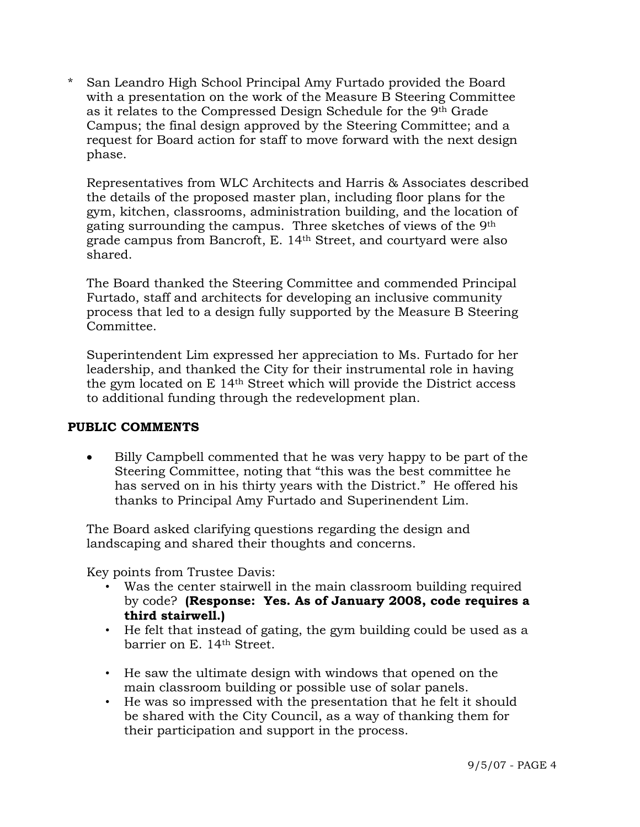\* San Leandro High School Principal Amy Furtado provided the Board with a presentation on the work of the Measure B Steering Committee as it relates to the Compressed Design Schedule for the 9th Grade Campus; the final design approved by the Steering Committee; and a request for Board action for staff to move forward with the next design phase.

 Representatives from WLC Architects and Harris & Associates described the details of the proposed master plan, including floor plans for the gym, kitchen, classrooms, administration building, and the location of gating surrounding the campus. Three sketches of views of the 9th grade campus from Bancroft, E. 14th Street, and courtyard were also shared.

 The Board thanked the Steering Committee and commended Principal Furtado, staff and architects for developing an inclusive community process that led to a design fully supported by the Measure B Steering Committee.

 Superintendent Lim expressed her appreciation to Ms. Furtado for her leadership, and thanked the City for their instrumental role in having the gym located on E 14th Street which will provide the District access to additional funding through the redevelopment plan.

## **PUBLIC COMMENTS**

• Billy Campbell commented that he was very happy to be part of the Steering Committee, noting that "this was the best committee he has served on in his thirty years with the District." He offered his thanks to Principal Amy Furtado and Superinendent Lim.

 The Board asked clarifying questions regarding the design and landscaping and shared their thoughts and concerns.

Key points from Trustee Davis:

- Was the center stairwell in the main classroom building required by code? **(Response: Yes. As of January 2008, code requires a third stairwell.)**
- He felt that instead of gating, the gym building could be used as a barrier on E. 14th Street.
- He saw the ultimate design with windows that opened on the main classroom building or possible use of solar panels.
- He was so impressed with the presentation that he felt it should be shared with the City Council, as a way of thanking them for their participation and support in the process.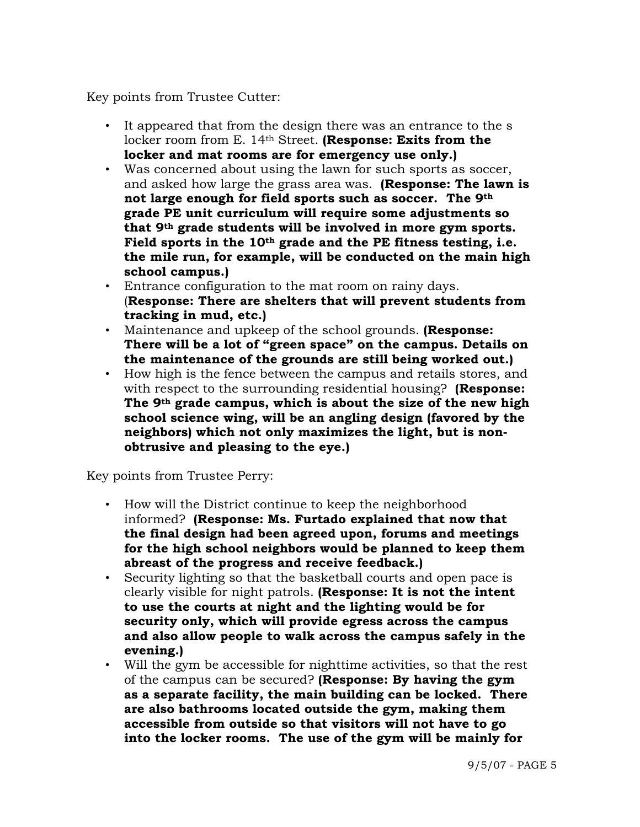Key points from Trustee Cutter:

- It appeared that from the design there was an entrance to the s locker room from E. 14th Street. **(Response: Exits from the locker and mat rooms are for emergency use only.)**
- Was concerned about using the lawn for such sports as soccer, and asked how large the grass area was. **(Response: The lawn is not large enough for field sports such as soccer. The 9th grade PE unit curriculum will require some adjustments so that 9th grade students will be involved in more gym sports. Field sports in the 10th grade and the PE fitness testing, i.e. the mile run, for example, will be conducted on the main high school campus.)**
- Entrance configuration to the mat room on rainy days. (**Response: There are shelters that will prevent students from tracking in mud, etc.)**
- Maintenance and upkeep of the school grounds. **(Response: There will be a lot of "green space" on the campus. Details on the maintenance of the grounds are still being worked out.)**
- How high is the fence between the campus and retails stores, and with respect to the surrounding residential housing? **(Response: The 9th grade campus, which is about the size of the new high school science wing, will be an angling design (favored by the neighbors) which not only maximizes the light, but is nonobtrusive and pleasing to the eye.)**

Key points from Trustee Perry:

- How will the District continue to keep the neighborhood informed? **(Response: Ms. Furtado explained that now that the final design had been agreed upon, forums and meetings for the high school neighbors would be planned to keep them abreast of the progress and receive feedback.)**
- Security lighting so that the basketball courts and open pace is clearly visible for night patrols. **(Response: It is not the intent to use the courts at night and the lighting would be for security only, which will provide egress across the campus and also allow people to walk across the campus safely in the evening.)**
- Will the gym be accessible for nighttime activities, so that the rest of the campus can be secured? **(Response: By having the gym as a separate facility, the main building can be locked. There are also bathrooms located outside the gym, making them accessible from outside so that visitors will not have to go into the locker rooms. The use of the gym will be mainly for**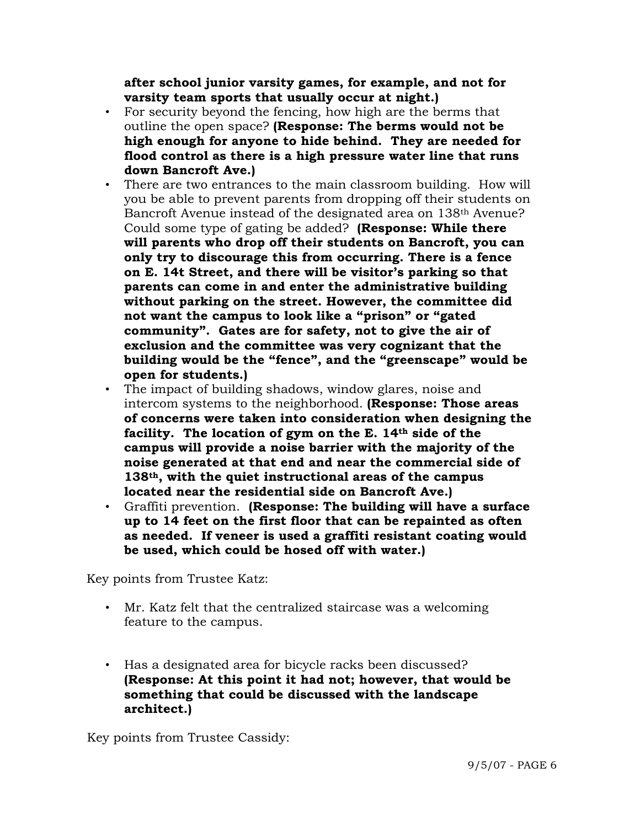**after school junior varsity games, for example, and not for varsity team sports that usually occur at night.)**

- For security beyond the fencing, how high are the berms that outline the open space? **(Response: The berms would not be high enough for anyone to hide behind. They are needed for flood control as there is a high pressure water line that runs down Bancroft Ave.)**
- There are two entrances to the main classroom building. How will you be able to prevent parents from dropping off their students on Bancroft Avenue instead of the designated area on 138th Avenue? Could some type of gating be added? **(Response: While there will parents who drop off their students on Bancroft, you can only try to discourage this from occurring. There is a fence on E. 14t Street, and there will be visitor's parking so that parents can come in and enter the administrative building without parking on the street. However, the committee did not want the campus to look like a "prison" or "gated community". Gates are for safety, not to give the air of exclusion and the committee was very cognizant that the building would be the "fence", and the "greenscape" would be open for students.)**
- The impact of building shadows, window glares, noise and intercom systems to the neighborhood. **(Response: Those areas of concerns were taken into consideration when designing the facility. The location of gym on the E. 14th side of the campus will provide a noise barrier with the majority of the noise generated at that end and near the commercial side of 138th, with the quiet instructional areas of the campus located near the residential side on Bancroft Ave.)**
- Graffiti prevention. **(Response: The building will have a surface up to 14 feet on the first floor that can be repainted as often as needed. If veneer is used a graffiti resistant coating would be used, which could be hosed off with water.)**

Key points from Trustee Katz:

- Mr. Katz felt that the centralized staircase was a welcoming feature to the campus.
- Has a designated area for bicycle racks been discussed? **(Response: At this point it had not; however, that would be something that could be discussed with the landscape architect.)**

Key points from Trustee Cassidy: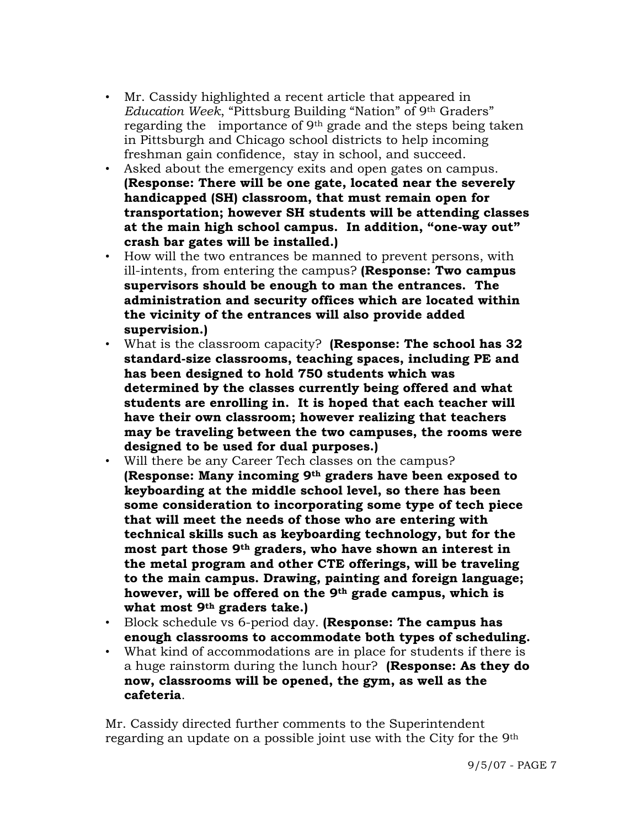- Mr. Cassidy highlighted a recent article that appeared in *Education Week*, "Pittsburg Building "Nation" of 9th Graders" regarding the importance of 9th grade and the steps being taken in Pittsburgh and Chicago school districts to help incoming freshman gain confidence, stay in school, and succeed.
- Asked about the emergency exits and open gates on campus. **(Response: There will be one gate, located near the severely handicapped (SH) classroom, that must remain open for transportation; however SH students will be attending classes at the main high school campus. In addition, "one-way out" crash bar gates will be installed.)**
- How will the two entrances be manned to prevent persons, with ill-intents, from entering the campus? **(Response: Two campus supervisors should be enough to man the entrances. The administration and security offices which are located within the vicinity of the entrances will also provide added supervision.)**
- What is the classroom capacity? **(Response: The school has 32 standard-size classrooms, teaching spaces, including PE and has been designed to hold 750 students which was determined by the classes currently being offered and what students are enrolling in. It is hoped that each teacher will have their own classroom; however realizing that teachers may be traveling between the two campuses, the rooms were designed to be used for dual purposes.)**
- Will there be any Career Tech classes on the campus? **(Response: Many incoming 9th graders have been exposed to keyboarding at the middle school level, so there has been some consideration to incorporating some type of tech piece that will meet the needs of those who are entering with technical skills such as keyboarding technology, but for the most part those 9th graders, who have shown an interest in the metal program and other CTE offerings, will be traveling to the main campus. Drawing, painting and foreign language; however, will be offered on the 9th grade campus, which is what most 9th graders take.)**
- Block schedule vs 6-period day. **(Response: The campus has enough classrooms to accommodate both types of scheduling.**
- What kind of accommodations are in place for students if there is a huge rainstorm during the lunch hour? **(Response: As they do now, classrooms will be opened, the gym, as well as the cafeteria**.

Mr. Cassidy directed further comments to the Superintendent regarding an update on a possible joint use with the City for the 9th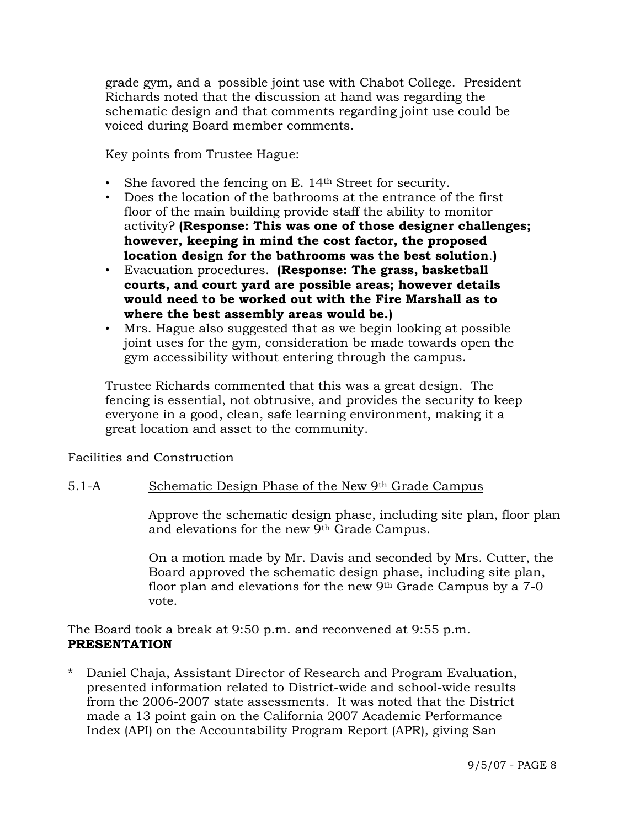grade gym, and a possible joint use with Chabot College. President Richards noted that the discussion at hand was regarding the schematic design and that comments regarding joint use could be voiced during Board member comments.

Key points from Trustee Hague:

- She favored the fencing on E. 14<sup>th</sup> Street for security.
- Does the location of the bathrooms at the entrance of the first floor of the main building provide staff the ability to monitor activity? **(Response: This was one of those designer challenges; however, keeping in mind the cost factor, the proposed location design for the bathrooms was the best solution**.**)**
- Evacuation procedures. **(Response: The grass, basketball courts, and court yard are possible areas; however details would need to be worked out with the Fire Marshall as to where the best assembly areas would be.)**
- Mrs. Hague also suggested that as we begin looking at possible joint uses for the gym, consideration be made towards open the gym accessibility without entering through the campus.

Trustee Richards commented that this was a great design. The fencing is essential, not obtrusive, and provides the security to keep everyone in a good, clean, safe learning environment, making it a great location and asset to the community.

## Facilities and Construction

## 5.1-A Schematic Design Phase of the New 9th Grade Campus

Approve the schematic design phase, including site plan, floor plan and elevations for the new 9th Grade Campus.

On a motion made by Mr. Davis and seconded by Mrs. Cutter, the Board approved the schematic design phase, including site plan, floor plan and elevations for the new 9th Grade Campus by a 7-0 vote.

The Board took a break at 9:50 p.m. and reconvened at 9:55 p.m. **PRESENTATION**

\* Daniel Chaja, Assistant Director of Research and Program Evaluation, presented information related to District-wide and school-wide results from the 2006-2007 state assessments. It was noted that the District made a 13 point gain on the California 2007 Academic Performance Index (API) on the Accountability Program Report (APR), giving San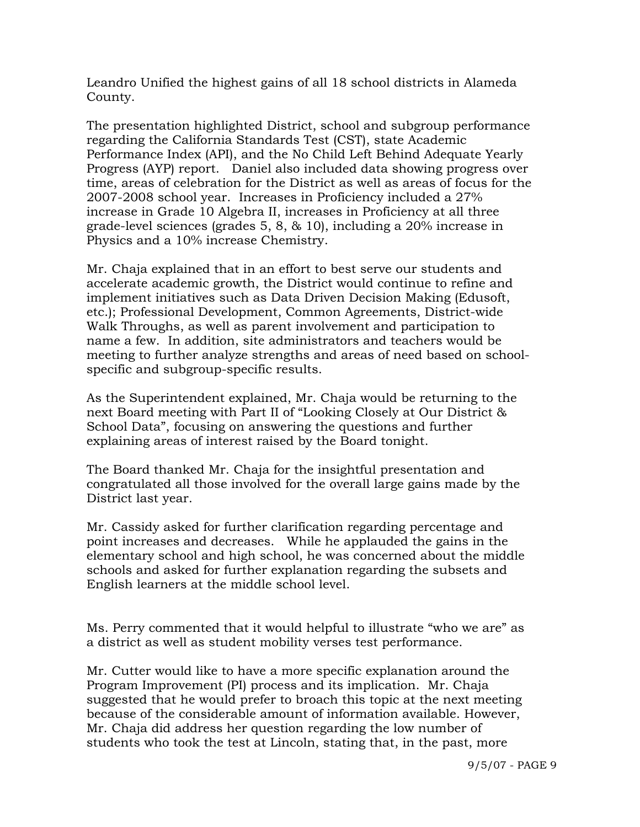Leandro Unified the highest gains of all 18 school districts in Alameda County.

 The presentation highlighted District, school and subgroup performance regarding the California Standards Test (CST), state Academic Performance Index (API), and the No Child Left Behind Adequate Yearly Progress (AYP) report. Daniel also included data showing progress over time, areas of celebration for the District as well as areas of focus for the 2007-2008 school year. Increases in Proficiency included a 27% increase in Grade 10 Algebra II, increases in Proficiency at all three grade-level sciences (grades 5, 8, & 10), including a 20% increase in Physics and a 10% increase Chemistry.

 Mr. Chaja explained that in an effort to best serve our students and accelerate academic growth, the District would continue to refine and implement initiatives such as Data Driven Decision Making (Edusoft, etc.); Professional Development, Common Agreements, District-wide Walk Throughs, as well as parent involvement and participation to name a few. In addition, site administrators and teachers would be meeting to further analyze strengths and areas of need based on school specific and subgroup-specific results.

 As the Superintendent explained, Mr. Chaja would be returning to the next Board meeting with Part II of "Looking Closely at Our District & School Data", focusing on answering the questions and further explaining areas of interest raised by the Board tonight.

 The Board thanked Mr. Chaja for the insightful presentation and congratulated all those involved for the overall large gains made by the District last year.

 Mr. Cassidy asked for further clarification regarding percentage and point increases and decreases. While he applauded the gains in the elementary school and high school, he was concerned about the middle schools and asked for further explanation regarding the subsets and English learners at the middle school level.

 Ms. Perry commented that it would helpful to illustrate "who we are" as a district as well as student mobility verses test performance.

 Mr. Cutter would like to have a more specific explanation around the Program Improvement (PI) process and its implication. Mr. Chaja suggested that he would prefer to broach this topic at the next meeting because of the considerable amount of information available. However, Mr. Chaja did address her question regarding the low number of students who took the test at Lincoln, stating that, in the past, more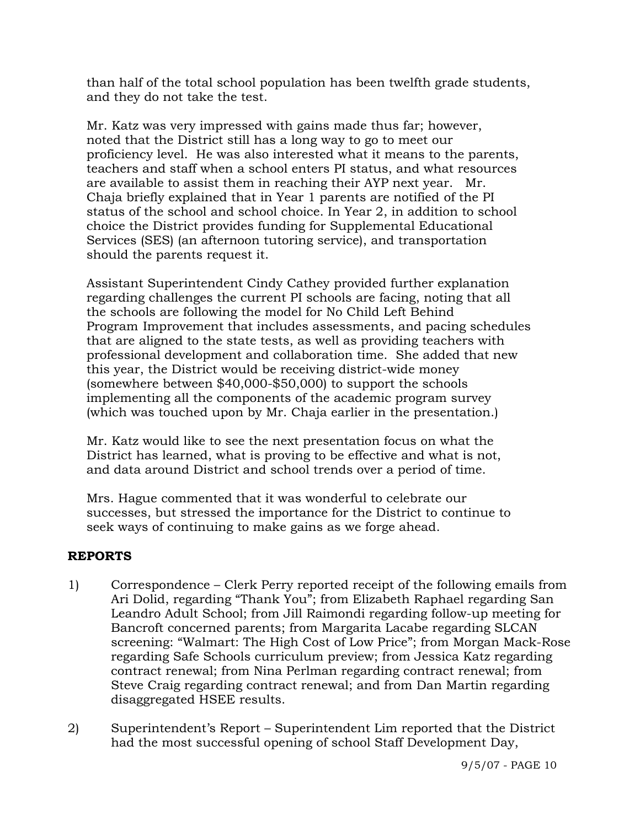than half of the total school population has been twelfth grade students, and they do not take the test.

 Mr. Katz was very impressed with gains made thus far; however, noted that the District still has a long way to go to meet our proficiency level. He was also interested what it means to the parents, teachers and staff when a school enters PI status, and what resources are available to assist them in reaching their AYP next year. Mr. Chaja briefly explained that in Year 1 parents are notified of the PI status of the school and school choice. In Year 2, in addition to school choice the District provides funding for Supplemental Educational Services (SES) (an afternoon tutoring service), and transportation should the parents request it.

 Assistant Superintendent Cindy Cathey provided further explanation regarding challenges the current PI schools are facing, noting that all the schools are following the model for No Child Left Behind Program Improvement that includes assessments, and pacing schedules that are aligned to the state tests, as well as providing teachers with professional development and collaboration time. She added that new this year, the District would be receiving district-wide money (somewhere between \$40,000-\$50,000) to support the schools implementing all the components of the academic program survey (which was touched upon by Mr. Chaja earlier in the presentation.)

 Mr. Katz would like to see the next presentation focus on what the District has learned, what is proving to be effective and what is not, and data around District and school trends over a period of time.

 Mrs. Hague commented that it was wonderful to celebrate our successes, but stressed the importance for the District to continue to seek ways of continuing to make gains as we forge ahead.

## **REPORTS**

- 1) Correspondence Clerk Perry reported receipt of the following emails from Ari Dolid, regarding "Thank You"; from Elizabeth Raphael regarding San Leandro Adult School; from Jill Raimondi regarding follow-up meeting for Bancroft concerned parents; from Margarita Lacabe regarding SLCAN screening: "Walmart: The High Cost of Low Price"; from Morgan Mack-Rose regarding Safe Schools curriculum preview; from Jessica Katz regarding contract renewal; from Nina Perlman regarding contract renewal; from Steve Craig regarding contract renewal; and from Dan Martin regarding disaggregated HSEE results.
- 2) Superintendent's Report Superintendent Lim reported that the District had the most successful opening of school Staff Development Day,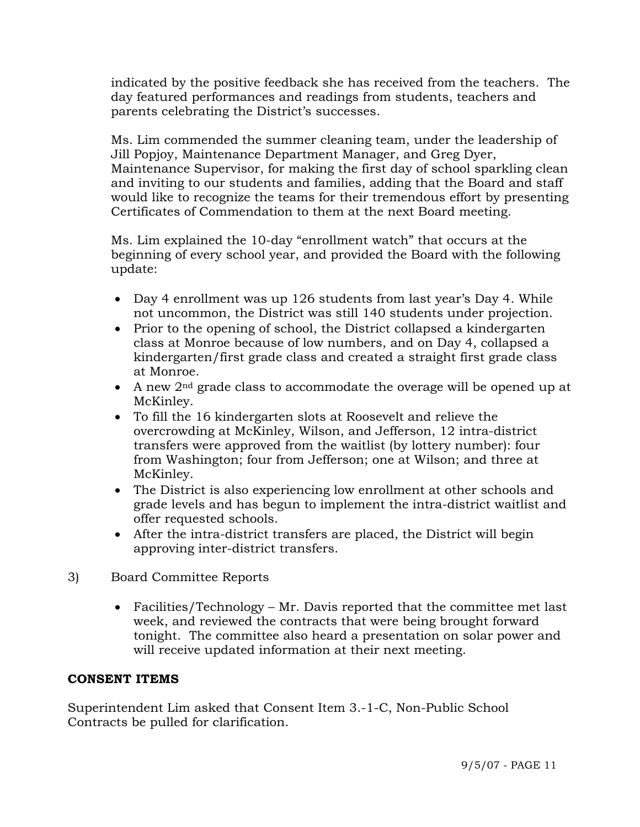indicated by the positive feedback she has received from the teachers. The day featured performances and readings from students, teachers and parents celebrating the District's successes.

Ms. Lim commended the summer cleaning team, under the leadership of Jill Popjoy, Maintenance Department Manager, and Greg Dyer, Maintenance Supervisor, for making the first day of school sparkling clean and inviting to our students and families, adding that the Board and staff would like to recognize the teams for their tremendous effort by presenting Certificates of Commendation to them at the next Board meeting.

Ms. Lim explained the 10-day "enrollment watch" that occurs at the beginning of every school year, and provided the Board with the following update:

- Day 4 enrollment was up 126 students from last year's Day 4. While not uncommon, the District was still 140 students under projection.
- Prior to the opening of school, the District collapsed a kindergarten class at Monroe because of low numbers, and on Day 4, collapsed a kindergarten/first grade class and created a straight first grade class at Monroe.
- A new 2nd grade class to accommodate the overage will be opened up at McKinley.
- To fill the 16 kindergarten slots at Roosevelt and relieve the overcrowding at McKinley, Wilson, and Jefferson, 12 intra-district transfers were approved from the waitlist (by lottery number): four from Washington; four from Jefferson; one at Wilson; and three at McKinley.
- The District is also experiencing low enrollment at other schools and grade levels and has begun to implement the intra-district waitlist and offer requested schools.
- After the intra-district transfers are placed, the District will begin approving inter-district transfers.
- 3) Board Committee Reports
	- Facilities/Technology Mr. Davis reported that the committee met last week, and reviewed the contracts that were being brought forward tonight. The committee also heard a presentation on solar power and will receive updated information at their next meeting.

## **CONSENT ITEMS**

Superintendent Lim asked that Consent Item 3.-1-C, Non-Public School Contracts be pulled for clarification.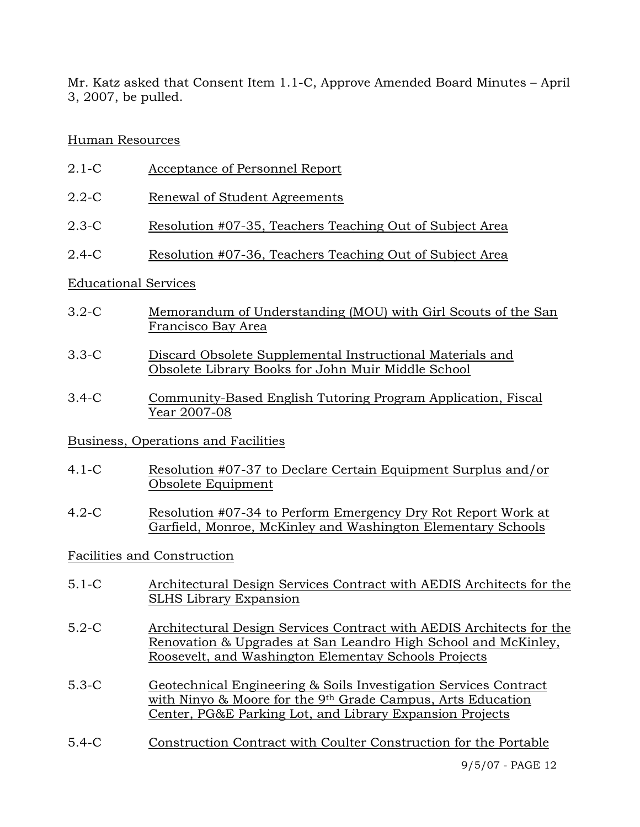Mr. Katz asked that Consent Item 1.1-C, Approve Amended Board Minutes – April 3, 2007, be pulled.

## Human Resources

- 2.1-C Acceptance of Personnel Report
- 2.2-C Renewal of Student Agreements
- 2.3-C Resolution #07-35, Teachers Teaching Out of Subject Area
- 2.4-C Resolution #07-36, Teachers Teaching Out of Subject Area

## Educational Services

- 3.2-C Memorandum of Understanding (MOU) with Girl Scouts of the San Francisco Bay Area
- 3.3-C Discard Obsolete Supplemental Instructional Materials and Obsolete Library Books for John Muir Middle School
- 3.4-C Community-Based English Tutoring Program Application, Fiscal Year 2007-08

# Business, Operations and Facilities

- 4.1-C Resolution #07-37 to Declare Certain Equipment Surplus and/or Obsolete Equipment
- 4.2-C Resolution #07-34 to Perform Emergency Dry Rot Report Work at Garfield, Monroe, McKinley and Washington Elementary Schools

# Facilities and Construction

- 5.1-C Architectural Design Services Contract with AEDIS Architects for the SLHS Library Expansion
- 5.2-C Architectural Design Services Contract with AEDIS Architects for the Renovation & Upgrades at San Leandro High School and McKinley, Roosevelt, and Washington Elementay Schools Projects
- 5.3-C Geotechnical Engineering & Soils Investigation Services Contract with Ninyo & Moore for the 9<sup>th</sup> Grade Campus, Arts Education Center, PG&E Parking Lot, and Library Expansion Projects
- 5.4-C Construction Contract with Coulter Construction for the Portable

9/5/07 - PAGE 12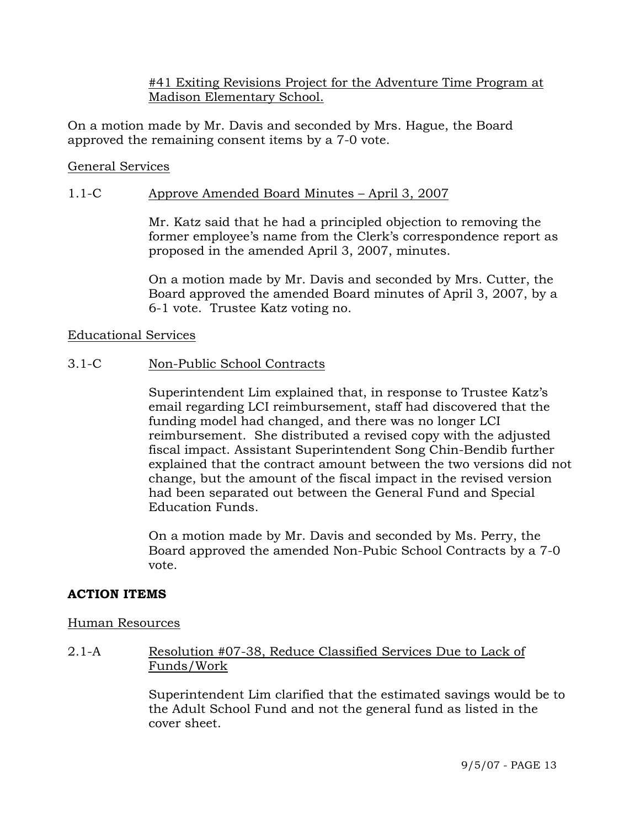### #41 Exiting Revisions Project for the Adventure Time Program at Madison Elementary School.

On a motion made by Mr. Davis and seconded by Mrs. Hague, the Board approved the remaining consent items by a 7-0 vote.

#### General Services

### 1.1-C Approve Amended Board Minutes – April 3, 2007

Mr. Katz said that he had a principled objection to removing the former employee's name from the Clerk's correspondence report as proposed in the amended April 3, 2007, minutes.

On a motion made by Mr. Davis and seconded by Mrs. Cutter, the Board approved the amended Board minutes of April 3, 2007, by a 6-1 vote. Trustee Katz voting no.

#### Educational Services

#### 3.1-C Non-Public School Contracts

Superintendent Lim explained that, in response to Trustee Katz's email regarding LCI reimbursement, staff had discovered that the funding model had changed, and there was no longer LCI reimbursement. She distributed a revised copy with the adjusted fiscal impact. Assistant Superintendent Song Chin-Bendib further explained that the contract amount between the two versions did not change, but the amount of the fiscal impact in the revised version had been separated out between the General Fund and Special Education Funds.

On a motion made by Mr. Davis and seconded by Ms. Perry, the Board approved the amended Non-Pubic School Contracts by a 7-0 vote.

## **ACTION ITEMS**

#### Human Resources

## 2.1-A Resolution #07-38, Reduce Classified Services Due to Lack of Funds/Work

Superintendent Lim clarified that the estimated savings would be to the Adult School Fund and not the general fund as listed in the cover sheet.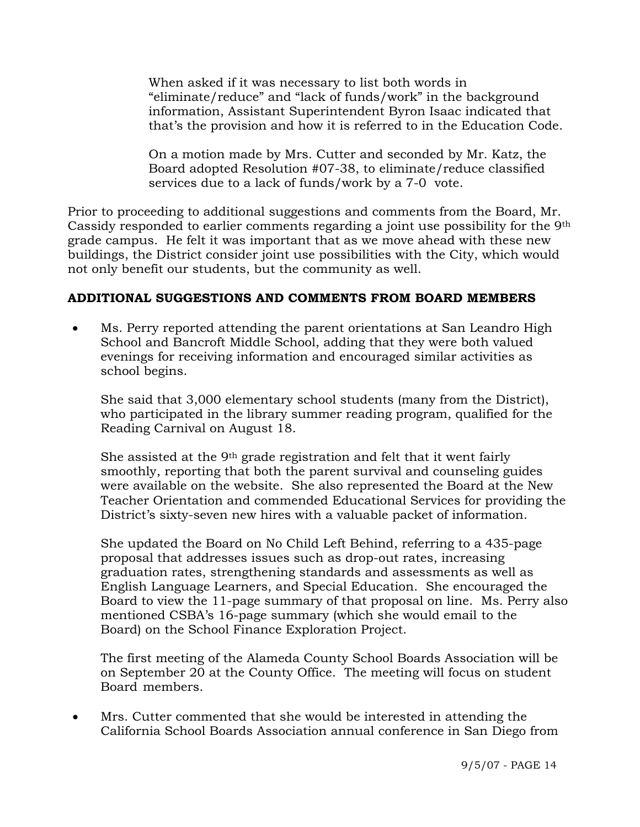When asked if it was necessary to list both words in "eliminate/reduce" and "lack of funds/work" in the background information, Assistant Superintendent Byron Isaac indicated that that's the provision and how it is referred to in the Education Code.

On a motion made by Mrs. Cutter and seconded by Mr. Katz, the Board adopted Resolution #07-38, to eliminate/reduce classified services due to a lack of funds/work by a 7-0 vote.

Prior to proceeding to additional suggestions and comments from the Board, Mr. Cassidy responded to earlier comments regarding a joint use possibility for the 9th grade campus. He felt it was important that as we move ahead with these new buildings, the District consider joint use possibilities with the City, which would not only benefit our students, but the community as well.

## **ADDITIONAL SUGGESTIONS AND COMMENTS FROM BOARD MEMBERS**

• Ms. Perry reported attending the parent orientations at San Leandro High School and Bancroft Middle School, adding that they were both valued evenings for receiving information and encouraged similar activities as school begins.

 She said that 3,000 elementary school students (many from the District), who participated in the library summer reading program, qualified for the Reading Carnival on August 18.

 She assisted at the 9th grade registration and felt that it went fairly smoothly, reporting that both the parent survival and counseling guides were available on the website. She also represented the Board at the New Teacher Orientation and commended Educational Services for providing the District's sixty-seven new hires with a valuable packet of information.

 She updated the Board on No Child Left Behind, referring to a 435-page proposal that addresses issues such as drop-out rates, increasing graduation rates, strengthening standards and assessments as well as English Language Learners, and Special Education. She encouraged the Board to view the 11-page summary of that proposal on line. Ms. Perry also mentioned CSBA's 16-page summary (which she would email to the Board) on the School Finance Exploration Project.

 The first meeting of the Alameda County School Boards Association will be on September 20 at the County Office. The meeting will focus on student Board members.

• Mrs. Cutter commented that she would be interested in attending the California School Boards Association annual conference in San Diego from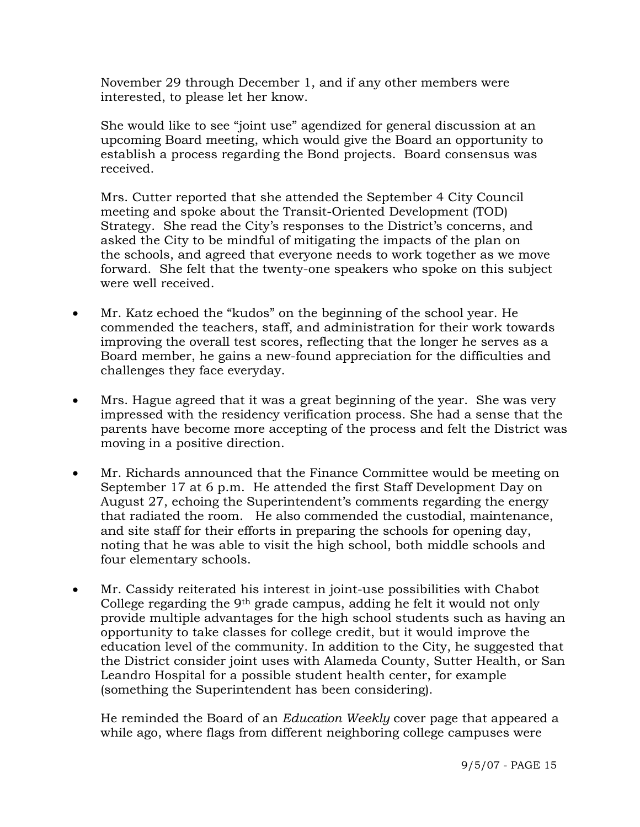November 29 through December 1, and if any other members were interested, to please let her know.

 She would like to see "joint use" agendized for general discussion at an upcoming Board meeting, which would give the Board an opportunity to establish a process regarding the Bond projects. Board consensus was received.

 Mrs. Cutter reported that she attended the September 4 City Council meeting and spoke about the Transit-Oriented Development (TOD) Strategy. She read the City's responses to the District's concerns, and asked the City to be mindful of mitigating the impacts of the plan on the schools, and agreed that everyone needs to work together as we move forward. She felt that the twenty-one speakers who spoke on this subject were well received.

- Mr. Katz echoed the "kudos" on the beginning of the school year. He commended the teachers, staff, and administration for their work towards improving the overall test scores, reflecting that the longer he serves as a Board member, he gains a new-found appreciation for the difficulties and challenges they face everyday.
- Mrs. Hague agreed that it was a great beginning of the year. She was very impressed with the residency verification process. She had a sense that the parents have become more accepting of the process and felt the District was moving in a positive direction.
- Mr. Richards announced that the Finance Committee would be meeting on September 17 at 6 p.m. He attended the first Staff Development Day on August 27, echoing the Superintendent's comments regarding the energy that radiated the room. He also commended the custodial, maintenance, and site staff for their efforts in preparing the schools for opening day, noting that he was able to visit the high school, both middle schools and four elementary schools.
- Mr. Cassidy reiterated his interest in joint-use possibilities with Chabot College regarding the 9th grade campus, adding he felt it would not only provide multiple advantages for the high school students such as having an opportunity to take classes for college credit, but it would improve the education level of the community. In addition to the City, he suggested that the District consider joint uses with Alameda County, Sutter Health, or San Leandro Hospital for a possible student health center, for example (something the Superintendent has been considering).

 He reminded the Board of an *Education Weekly* cover page that appeared a while ago, where flags from different neighboring college campuses were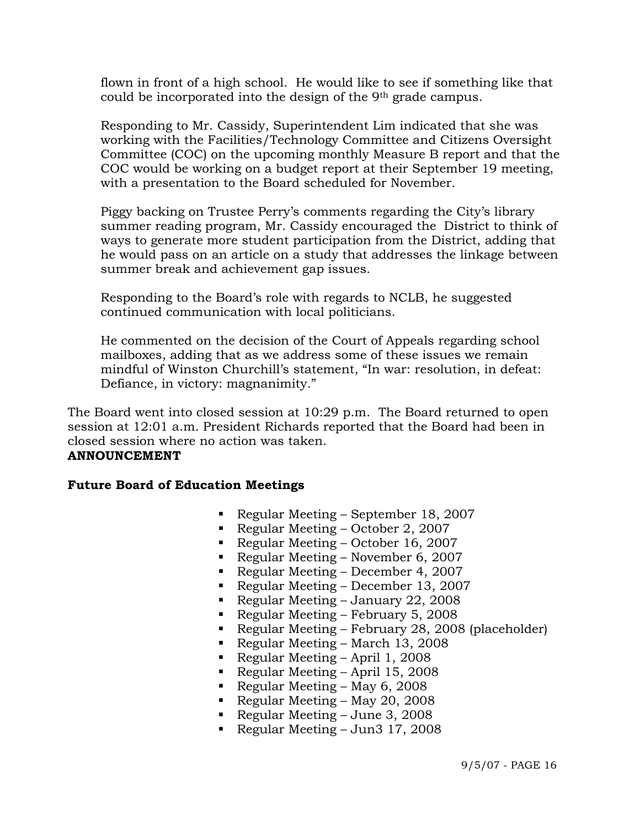flown in front of a high school. He would like to see if something like that could be incorporated into the design of the 9th grade campus.

 Responding to Mr. Cassidy, Superintendent Lim indicated that she was working with the Facilities/Technology Committee and Citizens Oversight Committee (COC) on the upcoming monthly Measure B report and that the COC would be working on a budget report at their September 19 meeting, with a presentation to the Board scheduled for November.

 Piggy backing on Trustee Perry's comments regarding the City's library summer reading program, Mr. Cassidy encouraged the District to think of ways to generate more student participation from the District, adding that he would pass on an article on a study that addresses the linkage between summer break and achievement gap issues.

 Responding to the Board's role with regards to NCLB, he suggested continued communication with local politicians.

 He commented on the decision of the Court of Appeals regarding school mailboxes, adding that as we address some of these issues we remain mindful of Winston Churchill's statement, "In war: resolution, in defeat: Defiance, in victory: magnanimity."

The Board went into closed session at 10:29 p.m. The Board returned to open session at 12:01 a.m. President Richards reported that the Board had been in closed session where no action was taken.

# **ANNOUNCEMENT**

#### **Future Board of Education Meetings**

- Regular Meeting September 18, 2007
- Regular Meeting October 2, 2007
- Regular Meeting October 16, 2007
- Regular Meeting November 6, 2007
- Regular Meeting December 4, 2007
- Regular Meeting December 13, 2007
- Regular Meeting January 22, 2008
- Regular Meeting February 5, 2008
- Regular Meeting February 28, 2008 (placeholder)
- Regular Meeting March 13, 2008
- Regular Meeting April 1, 2008
- Regular Meeting April 15, 2008
- Regular Meeting May 6, 2008
- Regular Meeting May 20, 2008
- Regular Meeting June 3, 2008
- Regular Meeting Jun3 17, 2008